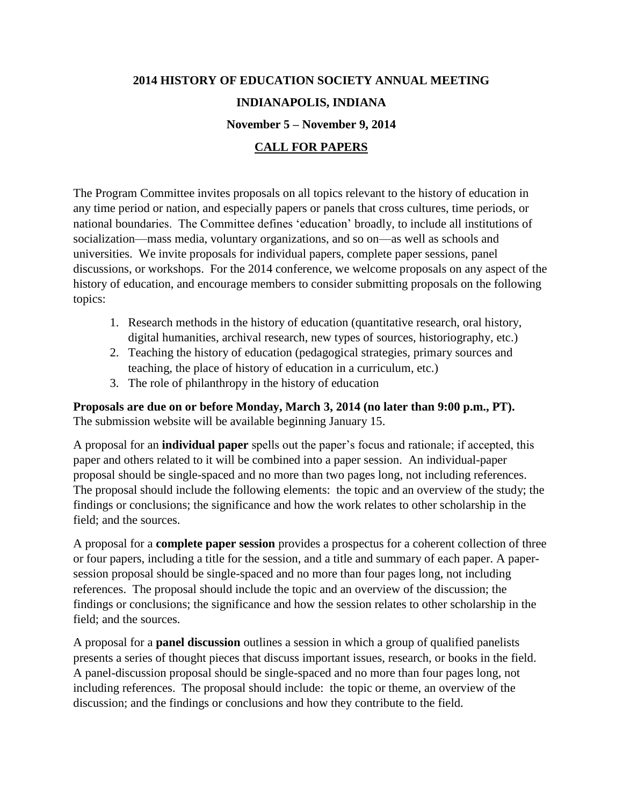## **2014 HISTORY OF EDUCATION SOCIETY ANNUAL MEETING INDIANAPOLIS, INDIANA November 5 – November 9, 2014 CALL FOR PAPERS**

The Program Committee invites proposals on all topics relevant to the history of education in any time period or nation, and especially papers or panels that cross cultures, time periods, or national boundaries. The Committee defines 'education' broadly, to include all institutions of socialization—mass media, voluntary organizations, and so on—as well as schools and universities. We invite proposals for individual papers, complete paper sessions, panel discussions, or workshops. For the 2014 conference, we welcome proposals on any aspect of the history of education, and encourage members to consider submitting proposals on the following topics:

- 1. Research methods in the history of education (quantitative research, oral history, digital humanities, archival research, new types of sources, historiography, etc.)
- 2. Teaching the history of education (pedagogical strategies, primary sources and teaching, the place of history of education in a curriculum, etc.)
- 3. The role of philanthropy in the history of education

**Proposals are due on or before Monday, March 3, 2014 (no later than 9:00 p.m., PT).** The submission website will be available beginning January 15.

A proposal for an **individual paper** spells out the paper's focus and rationale; if accepted, this paper and others related to it will be combined into a paper session. An individual-paper proposal should be single-spaced and no more than two pages long, not including references. The proposal should include the following elements: the topic and an overview of the study; the findings or conclusions; the significance and how the work relates to other scholarship in the field; and the sources.

A proposal for a **complete paper session** provides a prospectus for a coherent collection of three or four papers, including a title for the session, and a title and summary of each paper. A papersession proposal should be single-spaced and no more than four pages long, not including references. The proposal should include the topic and an overview of the discussion; the findings or conclusions; the significance and how the session relates to other scholarship in the field; and the sources.

A proposal for a **panel discussion** outlines a session in which a group of qualified panelists presents a series of thought pieces that discuss important issues, research, or books in the field. A panel-discussion proposal should be single-spaced and no more than four pages long, not including references. The proposal should include: the topic or theme, an overview of the discussion; and the findings or conclusions and how they contribute to the field.